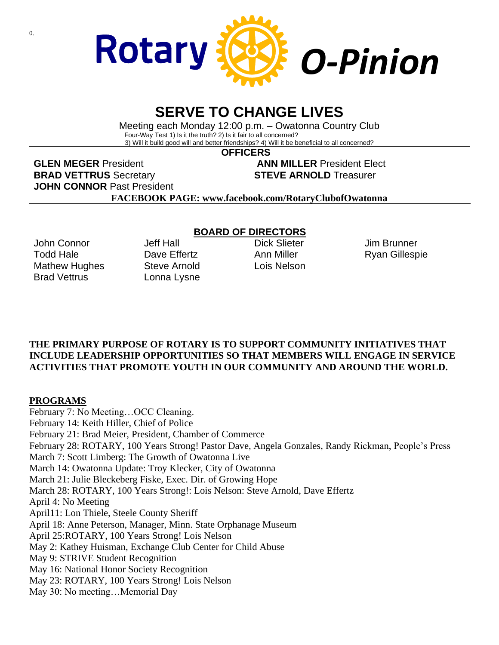

## **SERVE TO CHANGE LIVES**

Meeting each Monday 12:00 p.m. – Owatonna Country Club Four-Way Test 1) Is it the truth? 2) Is it fair to all concerned? 3) Will it build good will and better friendships? 4) Will it be beneficial to all concerned?

 **OFFICERS**

**GLEN MEGER** President **ANN MILLER** President Elect **BRAD VETTRUS** Secretary **STEVE ARNOLD** Treasurer **JOHN CONNOR** Past President

**FACEBOOK PAGE: www.facebook.com/RotaryClubofOwatonna**

John Connor Todd Hale Mathew Hughes Brad Vettrus

Jeff Hall Dave Fffertz Steve Arnold Lonna Lysne

### **BOARD OF DIRECTORS**

Dick Slieter Ann Miller Lois Nelson

Jim Brunner Ryan Gillespie

### **THE PRIMARY PURPOSE OF ROTARY IS TO SUPPORT COMMUNITY INITIATIVES THAT INCLUDE LEADERSHIP OPPORTUNITIES SO THAT MEMBERS WILL ENGAGE IN SERVICE ACTIVITIES THAT PROMOTE YOUTH IN OUR COMMUNITY AND AROUND THE WORLD.**

### **PROGRAMS**

February 7: No Meeting…OCC Cleaning. February 14: Keith Hiller, Chief of Police February 21: Brad Meier, President, Chamber of Commerce February 28: ROTARY, 100 Years Strong! Pastor Dave, Angela Gonzales, Randy Rickman, People's Press March 7: Scott Limberg: The Growth of Owatonna Live March 14: Owatonna Update: Troy Klecker, City of Owatonna March 21: Julie Bleckeberg Fiske, Exec. Dir. of Growing Hope March 28: ROTARY, 100 Years Strong!: Lois Nelson: Steve Arnold, Dave Effertz April 4: No Meeting April11: Lon Thiele, Steele County Sheriff April 18: Anne Peterson, Manager, Minn. State Orphanage Museum April 25:ROTARY, 100 Years Strong! Lois Nelson May 2: Kathey Huisman, Exchange Club Center for Child Abuse May 9: STRIVE Student Recognition May 16: National Honor Society Recognition May 23: ROTARY, 100 Years Strong! Lois Nelson May 30: No meeting…Memorial Day